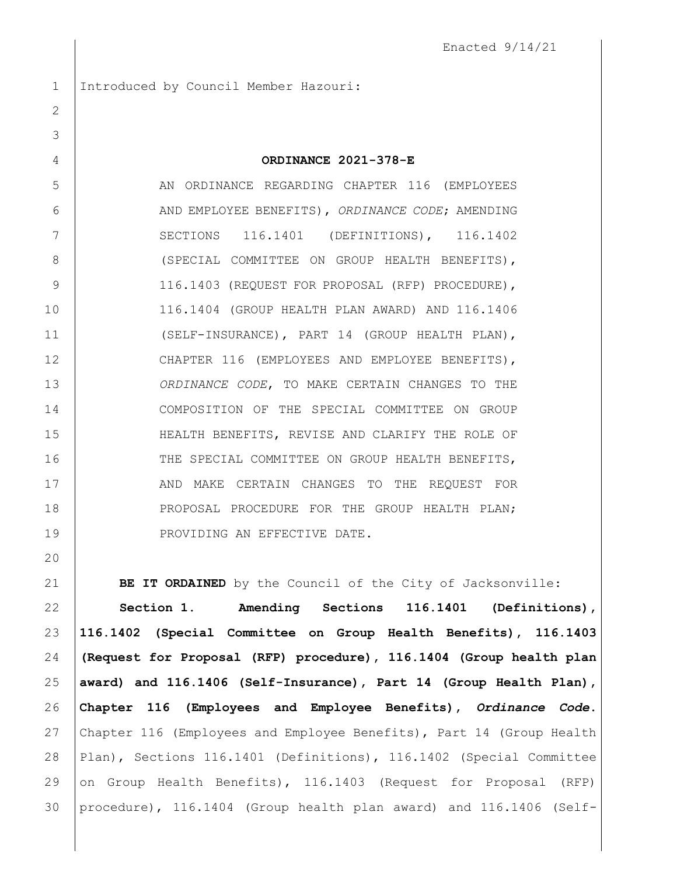Introduced by Council Member Hazouri:

| ORDINANCE 2021-378-E |  |
|----------------------|--|
|                      |  |
|                      |  |

5 AN ORDINANCE REGARDING CHAPTER 116 (EMPLOYEES AND EMPLOYEE BENEFITS), *ORDINANCE CODE*; AMENDING 7 | SECTIONS 116.1401 (DEFINITIONS), 116.1402 8 | (SPECIAL COMMITTEE ON GROUP HEALTH BENEFITS), 9 | 116.1403 (REQUEST FOR PROPOSAL (RFP) PROCEDURE), 116.1404 (GROUP HEALTH PLAN AWARD) AND 116.1406 11 (SELF-INSURANCE), PART 14 (GROUP HEALTH PLAN), CHAPTER 116 (EMPLOYEES AND EMPLOYEE BENEFITS), *ORDINANCE CODE*, TO MAKE CERTAIN CHANGES TO THE COMPOSITION OF THE SPECIAL COMMITTEE ON GROUP HEALTH BENEFITS, REVISE AND CLARIFY THE ROLE OF 16 THE SPECIAL COMMITTEE ON GROUP HEALTH BENEFITS, 17 | AND MAKE CERTAIN CHANGES TO THE REQUEST FOR 18 | PROPOSAL PROCEDURE FOR THE GROUP HEALTH PLAN; 19 PROVIDING AN EFFECTIVE DATE.

**BE IT ORDAINED** by the Council of the City of Jacksonville:

 **Section 1. Amending Sections 116.1401 (Definitions), 116.1402 (Special Committee on Group Health Benefits), 116.1403 (Request for Proposal (RFP) procedure), 116.1404 (Group health plan award) and 116.1406 (Self-Insurance), Part 14 (Group Health Plan), Chapter 116 (Employees and Employee Benefits),** *Ordinance Code***.**  Chapter 116 (Employees and Employee Benefits), Part 14 (Group Health 28 Plan), Sections 116.1401 (Definitions), 116.1402 (Special Committee 29 on Group Health Benefits), 116.1403 (Request for Proposal (RFP) procedure), 116.1404 (Group health plan award) and 116.1406 (Self-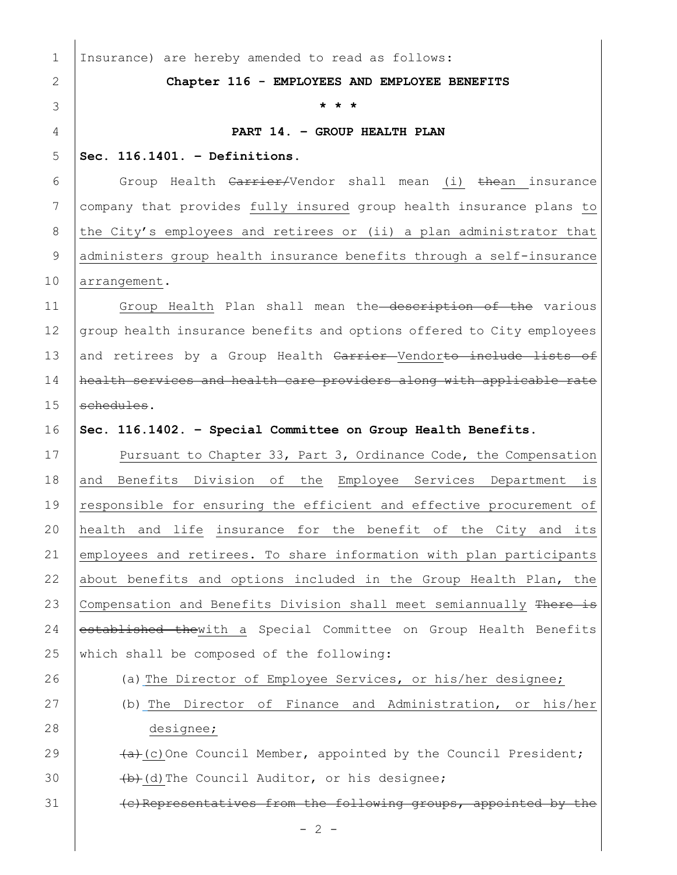| $\mathbf 1$    | Insurance) are hereby amended to read as follows:                     |
|----------------|-----------------------------------------------------------------------|
| $\overline{2}$ | Chapter 116 - EMPLOYEES AND EMPLOYEE BENEFITS                         |
| 3              |                                                                       |
| $\overline{4}$ | PART 14. - GROUP HEALTH PLAN                                          |
| 5              | Sec. $116.1401.$ - Definitions.                                       |
| 6              | Group Health Carrier/Vendor shall mean (i) thean insurance            |
| $7\phantom{.}$ | company that provides fully insured group health insurance plans to   |
| $8\,$          | the City's employees and retirees or (ii) a plan administrator that   |
| $\mathsf 9$    | administers group health insurance benefits through a self-insurance  |
| 10             | arrangement.                                                          |
| 11             | Group Health Plan shall mean the description of the various           |
| 12             | group health insurance benefits and options offered to City employees |
| 13             | and retirees by a Group Health Carrier Vendorto include lists of      |
| 14             | health services and health care providers along with applicable rate  |
| 15             | schedules.                                                            |
| 16             | Sec. 116.1402. - Special Committee on Group Health Benefits.          |
| 17             | Pursuant to Chapter 33, Part 3, Ordinance Code, the Compensation      |
| 18             | and Benefits Division of the Employee Services Department<br>is       |
| 19             | responsible for ensuring the efficient and effective procurement of   |
| 20             | health and life insurance for the benefit of the City and its         |
| 21             | employees and retirees. To share information with plan participants   |
| 22             | about benefits and options included in the Group Health Plan, the     |
| 23             | Compensation and Benefits Division shall meet semiannually There is   |
| 24             | established thewith a Special Committee on Group Health Benefits      |
| 25             | which shall be composed of the following:                             |
| 26             | (a) The Director of Employee Services, or his/her designee;           |
| 27             | (b) The Director of Finance and Administration, or his/her            |
| 28             | designee;                                                             |
| 29             | $(a)$ (c) One Council Member, appointed by the Council President;     |
| 30             | (b) (d) The Council Auditor, or his designee;                         |
| 31             | (e) Representatives from the following groups, appointed by the       |
|                | $-2 -$                                                                |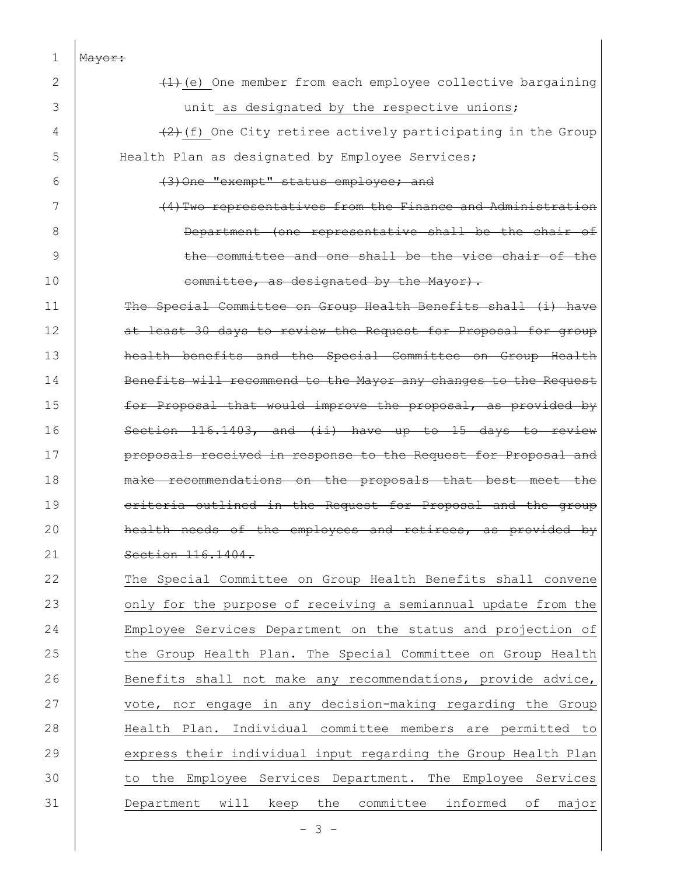| 1            | Mayor:                                                          |
|--------------|-----------------------------------------------------------------|
| $\mathbf{2}$ | $(1)$ (e) One member from each employee collective bargaining   |
| 3            | unit as designated by the respective unions;                    |
| 4            | $(2)$ (f) One City retiree actively participating in the Group  |
| 5            | Health Plan as designated by Employee Services;                 |
| 6            | (3) One "exempt" status employee; and                           |
| 7            | (4) Two representatives from the Finance and Administration     |
| 8            | Department (one representative shall be the chair of            |
| 9            | the committee and one shall be the vice chair of the            |
| 10           | committee, as designated by the Mayor).                         |
| 11           | The Special Committee on Group Health Benefits shall (i) have   |
| 12           | at least 30 days to review the Request for Proposal for group   |
| 13           | health benefits and the Special Committee on Group Health       |
| 14           | Benefits will recommend to the Mayor any changes to the Request |
| 15           | for Proposal that would improve the proposal, as provided by    |
| 16           | Section 116.1403, and (ii) have up to 15 days to review         |
| 17           | proposals received in response to the Request for Proposal and  |
| 18           | make recommendations on the proposals that best meet the        |
| 19           | eriteria outlined in the Request for Proposal and the group     |
| 20           | health needs of the employees and retirees, as<br>provided by   |
| 21           | Section 116.1404.                                               |
| 22           | The Special Committee on Group Health Benefits shall convene    |
| 23           | only for the purpose of receiving a semiannual update from the  |
| 24           | Employee Services Department on the status and projection of    |
| 25           | the Group Health Plan. The Special Committee on Group Health    |
| 26           | Benefits shall not make any recommendations, provide advice,    |
| 27           | vote, nor engage in any decision-making regarding the Group     |
| 28           | Health Plan. Individual committee members are permitted to      |
| 29           | express their individual input regarding the Group Health Plan  |
| 30           | to the Employee Services Department. The Employee Services      |
| 31           | Department will keep the committee informed of<br>major         |
|              | $-3 -$                                                          |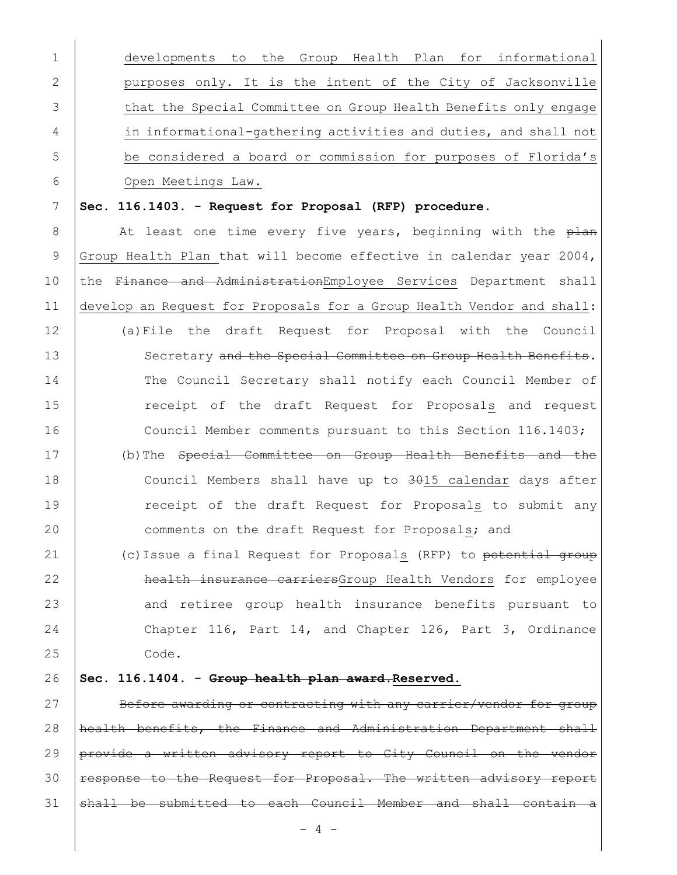| $\mathbf 1$  | developments to the Group Health Plan for informational               |
|--------------|-----------------------------------------------------------------------|
| $\mathbf{2}$ | purposes only. It is the intent of the City of Jacksonville           |
| 3            | that the Special Committee on Group Health Benefits only engage       |
| 4            | in informational-gathering activities and duties, and shall not       |
| 5            | be considered a board or commission for purposes of Florida's         |
| 6            | Open Meetings Law.                                                    |
| 7            | Sec. 116.1403. - Request for Proposal (RFP) procedure.                |
| $\,8\,$      | At least one time every five years, beginning with the plan           |
| $\mathsf 9$  | Group Health Plan that will become effective in calendar year 2004,   |
| 10           | the Finance and AdministrationEmployee Services Department shall      |
| 11           | develop an Request for Proposals for a Group Health Vendor and shall: |
| 12           | (a) File the draft Request for Proposal with the Council              |
| 13           | Secretary and the Special Committee on Group Health Benefits.         |
| 14           | The Council Secretary shall notify each Council Member of             |
| 15           | receipt of the draft Request for Proposals and request                |
| 16           | Council Member comments pursuant to this Section 116.1403;            |
| 17           | (b) The Special Committee on Group Health Benefits and the            |
| 18           | Council Members shall have up to 3015 calendar days after             |
| 19           | receipt of the draft Request for Proposals to submit any              |
| 20           | comments on the draft Request for Proposals; and                      |
| 21           | (c) Issue a final Request for Proposals (RFP) to potential group      |
| 22           | health insurance carriersGroup Health Vendors for employee            |
| 23           | and retiree group health insurance benefits pursuant to               |
| 24           | Chapter 116, Part 14, and Chapter 126, Part 3, Ordinance              |
| 25           | Code.                                                                 |
| 26           | Sec. 116.1404. - Group health plan award. Reserved.                   |
| 27           | Before awarding or contracting with any carrier/vendor for group      |
| 28           | health benefits, the Finance and Administration Department shall      |
| 29           | provide a written advisory report to City Council on the vendor       |
| 30           | response to the Request for Proposal. The written advisory report     |
| 31           | shall be submitted to each Council Member and shall contain a         |

- 4 -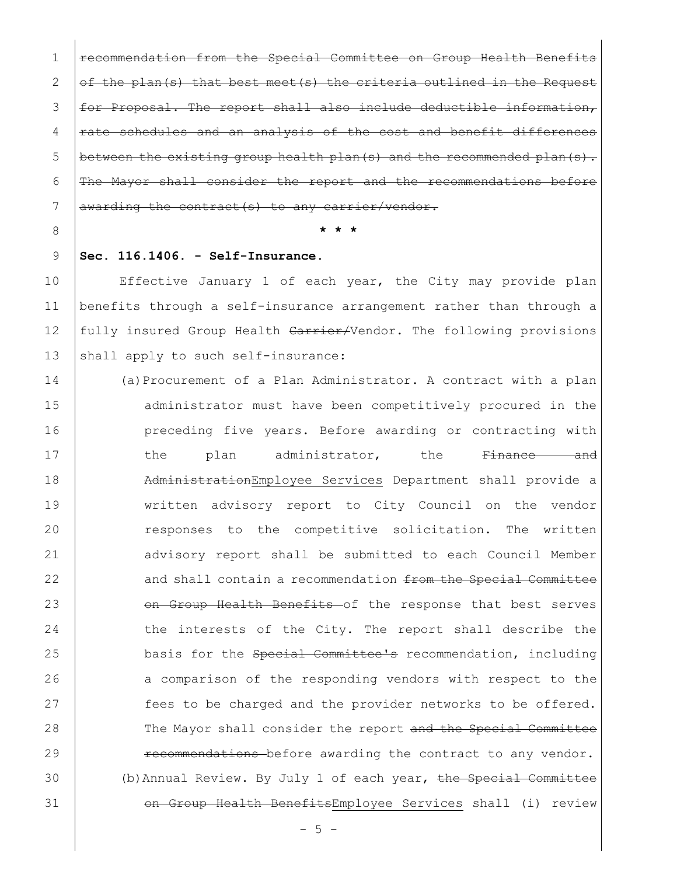1 | recommendation from the Special Committee on Group Health Benef 2  $\sigma$  of the plan(s) that best meet(s) the criteria outlined in the 3 | for Proposal. The report shall also include deductible information,  $4$   $\pm$   $\pm$  ate schedules and an analysis of the cost and benefit differences 5 between the existing group health plan(s) and the recommended plan(s).  $6$  The Mayor shall consider the report and the recommendations 7 |  $awarding the contract(s) to any carrier/vendor.$ 

## 8 **\* \* \***

## 9 **Sec. 116.1406. - Self-Insurance.**

10 | Effective January 1 of each year, the City may provide plan 11 benefits through a self-insurance arrangement rather than through a 12 fully insured Group Health Carrier/Vendor. The following provisions 13 shall apply to such self-insurance:

14 (a)Procurement of a Plan Administrator. A contract with a plan 15 **administrator must have been competitively procured in the** 16 **preceding five years. Before awarding or contracting with** 17 the plan administrator, the <del>Finance and</del> 18 | AdministrationEmployee Services Department shall provide a 19 | written advisory report to City Council on the vendor 20 Tesponses to the competitive solicitation. The written 21 advisory report shall be submitted to each Council Member 22 and shall contain a recommendation from the Special Committee 23 **on Group Health Benefits** of the response that best serves 24 the interests of the City. The report shall describe the 25 basis for the Special Committee's recommendation, including 26 a comparison of the responding vendors with respect to the 27 **fees to be charged and the provider networks to be offered.** 28 The Mayor shall consider the report and the Special Committee 29 Tecommendations before awarding the contract to any vendor. 30 (b)Annual Review. By July 1 of each year, the Special Committee 31 | on Group Health BenefitsEmployee Services shall (i) review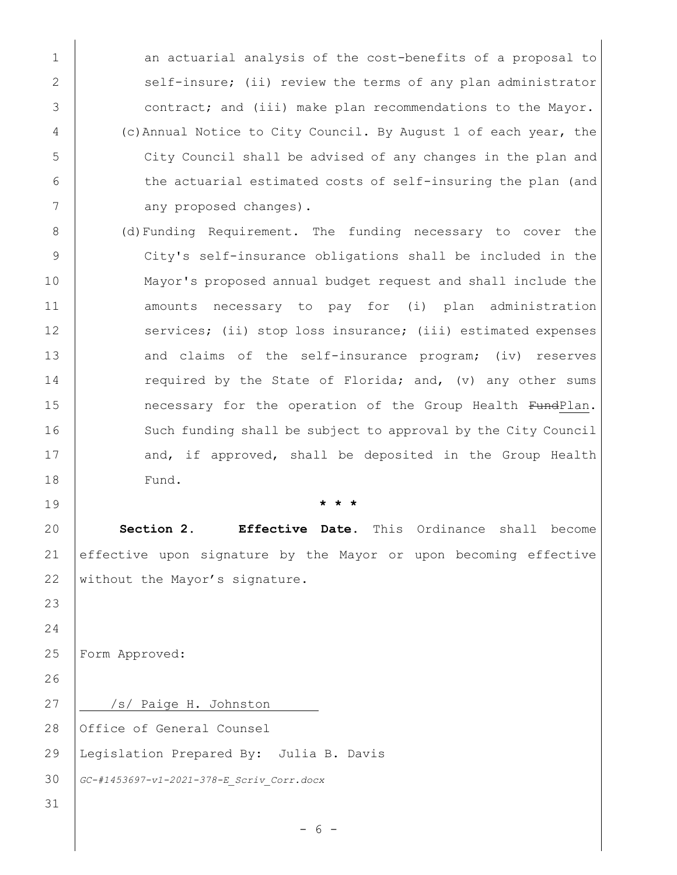1 | an actuarial analysis of the cost-benefits of a proposal to 2 | self-insure; (ii) review the terms of any plan administrator 3 contract; and (iii) make plan recommendations to the Mayor. 4 (c)Annual Notice to City Council. By August 1 of each year, the 5 City Council shall be advised of any changes in the plan and 6 the actuarial estimated costs of self-insuring the plan (and 7 any proposed changes).

8 (d)Funding Requirement. The funding necessary to cover the 9 City's self-insurance obligations shall be included in the 10 Mayor's proposed annual budget request and shall include the 11 | amounts necessary to pay for (i) plan administration 12 services; (ii) stop loss insurance; (iii) estimated expenses 13 and claims of the self-insurance program; (iv) reserves 14 required by the State of Florida; and, (v) any other sums 15 **necessary for the operation of the Group Health FundPlan.** 16 Such funding shall be subject to approval by the City Council 17 and, if approved, shall be deposited in the Group Health 18 Fund.

19 **\* \* \***

20 **Section 2. Effective Date**. This Ordinance shall become 21 effective upon signature by the Mayor or upon becoming effective 22 without the Mayor's signature.

25 Form Approved:

23

24

26

31

27 | /s/ Paige H. Johnston

28 Office of General Counsel

29 Legislation Prepared By: Julia B. Davis

30 *GC-#1453697-v1-2021-378-E\_Scriv\_Corr.docx*

- 6 -